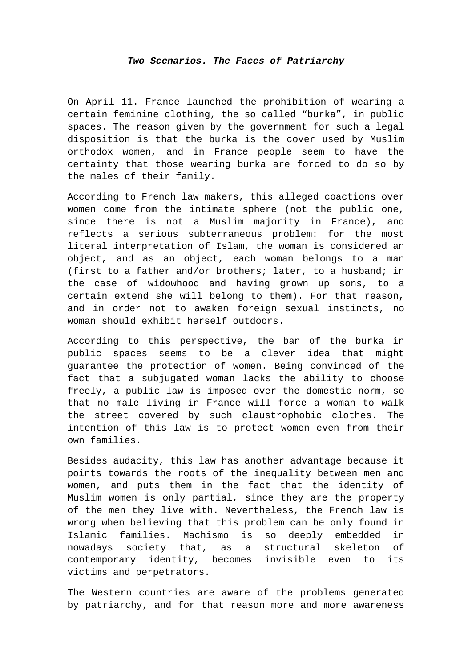## *Two Scenarios. The Faces of Patriarchy*

On April 11. France launched the prohibition of wearing a certain feminine clothing, the so called "burka", in public spaces. The reason given by the government for such a legal disposition is that the burka is the cover used by Muslim orthodox women, and in France people seem to have the certainty that those wearing burka are forced to do so by the males of their family.

According to French law makers, this alleged coactions over women come from the intimate sphere (not the public one, since there is not a Muslim majority in France), and reflects a serious subterraneous problem: for the most literal interpretation of Islam, the woman is considered an object, and as an object, each woman belongs to a man (first to a father and/or brothers; later, to a husband; in the case of widowhood and having grown up sons, to a certain extend she will belong to them). For that reason, and in order not to awaken foreign sexual instincts, no woman should exhibit herself outdoors.

According to this perspective, the ban of the burka in public spaces seems to be a clever idea that might guarantee the protection of women. Being convinced of the fact that a subjugated woman lacks the ability to choose freely, a public law is imposed over the domestic norm, so that no male living in France will force a woman to walk the street covered by such claustrophobic clothes. The intention of this law is to protect women even from their own families.

Besides audacity, this law has another advantage because it points towards the roots of the inequality between men and women, and puts them in the fact that the identity of Muslim women is only partial, since they are the property of the men they live with. Nevertheless, the French law is wrong when believing that this problem can be only found in Islamic families. Machismo is so deeply embedded in nowadays society that, as a structural skeleton of contemporary identity, becomes invisible even to its victims and perpetrators.

The Western countries are aware of the problems generated by patriarchy, and for that reason more and more awareness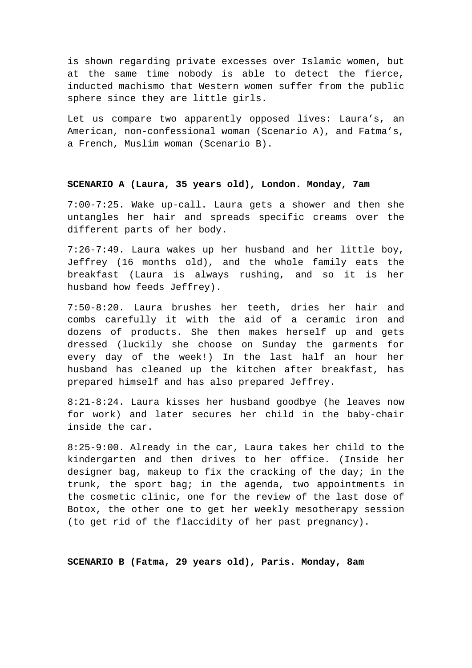is shown regarding private excesses over Islamic women, but at the same time nobody is able to detect the fierce, inducted machismo that Western women suffer from the public sphere since they are little girls.

Let us compare two apparently opposed lives: Laura's, an American, non-confessional woman (Scenario A), and Fatma's, a French, Muslim woman (Scenario B).

## **SCENARIO A (Laura, 35 years old), London. Monday, 7am**

7:00-7:25. Wake up-call. Laura gets a shower and then she untangles her hair and spreads specific creams over the different parts of her body.

7:26-7:49. Laura wakes up her husband and her little boy, Jeffrey (16 months old), and the whole family eats the breakfast (Laura is always rushing, and so it is her husband how feeds Jeffrey).

7:50-8:20. Laura brushes her teeth, dries her hair and combs carefully it with the aid of a ceramic iron and dozens of products. She then makes herself up and gets dressed (luckily she choose on Sunday the garments for every day of the week!) In the last half an hour her husband has cleaned up the kitchen after breakfast, has prepared himself and has also prepared Jeffrey.

8:21-8:24. Laura kisses her husband goodbye (he leaves now for work) and later secures her child in the baby-chair inside the car.

8:25-9:00. Already in the car, Laura takes her child to the kindergarten and then drives to her office. (Inside her designer bag, makeup to fix the cracking of the day; in the trunk, the sport bag; in the agenda, two appointments in the cosmetic clinic, one for the review of the last dose of Botox, the other one to get her weekly mesotherapy session (to get rid of the flaccidity of her past pregnancy).

**SCENARIO B (Fatma, 29 years old), Paris. Monday, 8am**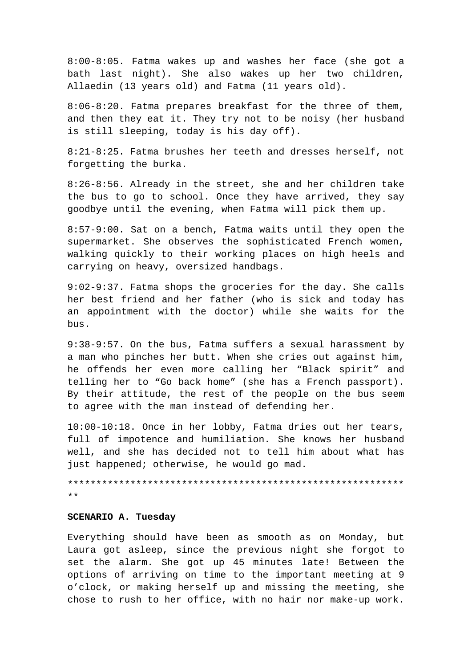8:00-8:05. Fatma wakes up and washes her face (she got a bath last night). She also wakes up her two children, Allaedin (13 years old) and Fatma (11 years old).

8:06-8:20. Fatma prepares breakfast for the three of them, and then they eat it. They try not to be noisy (her husband is still sleeping, today is his day off).

8:21-8:25. Fatma brushes her teeth and dresses herself, not forgetting the burka.

8:26-8:56. Already in the street, she and her children take the bus to go to school. Once they have arrived, they say goodbye until the evening, when Fatma will pick them up.

8:57-9:00. Sat on a bench, Fatma waits until they open the supermarket. She observes the sophisticated French women, walking quickly to their working places on high heels and carrying on heavy, oversized handbags.

9:02-9:37. Fatma shops the groceries for the day. She calls her best friend and her father (who is sick and today has an appointment with the doctor) while she waits for the bus.

9:38-9:57. On the bus, Fatma suffers a sexual harassment by a man who pinches her butt. When she cries out against him, he offends her even more calling her "Black spirit" and telling her to "Go back home" (she has a French passport). By their attitude, the rest of the people on the bus seem to agree with the man instead of defending her.

10:00-10:18. Once in her lobby, Fatma dries out her tears, full of impotence and humiliation. She knows her husband well, and she has decided not to tell him about what has just happened; otherwise, he would go mad.

 $\star$   $\star$ 

## SCENARIO A. Tuesday

Everything should have been as smooth as on Monday, but Laura got asleep, since the previous night she forgot to set the alarm. She got up 45 minutes late! Between the options of arriving on time to the important meeting at 9 o'clock, or making herself up and missing the meeting, she chose to rush to her office, with no hair nor make-up work.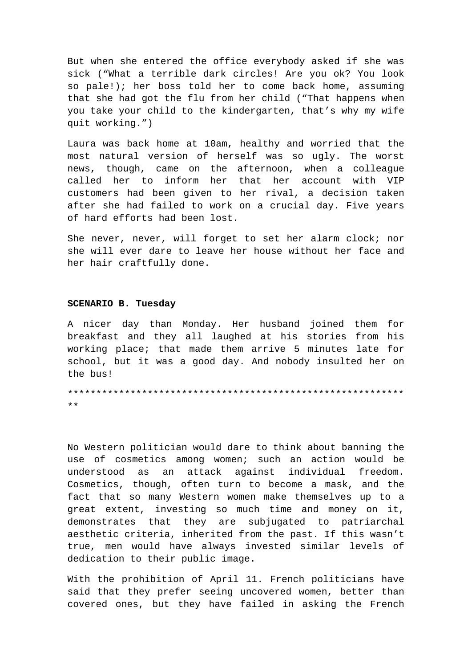But when she entered the office everybody asked if she was sick ("What a terrible dark circles! Are you ok? You look so pale!); her boss told her to come back home, assuming that she had got the flu from her child ("That happens when you take your child to the kindergarten, that's why my wife quit working.")

Laura was back home at 10am, healthy and worried that the most natural version of herself was so ugly. The worst news, though, came on the afternoon, when a colleague called her to inform her that her account with VIP customers had been given to her rival, a decision taken after she had failed to work on a crucial day. Five years of hard efforts had been lost.

She never, never, will forget to set her alarm clock; nor she will ever dare to leave her house without her face and her hair craftfully done.

## **SCENARIO B. Tuesday**

A nicer day than Monday. Her husband joined them for breakfast and they all laughed at his stories from his working place; that made them arrive 5 minutes late for school, but it was a good day. And nobody insulted her on the bus!

\*\*\*\*\*\*\*\*\*\*\*\*\*\*\*\*\*\*\*\*\*\*\*\*\*\*\*\*\*\*\*\*\*\*\*\*\*\*\*\*\*\*\*\*\*\*\*\*\*\*\*\*\*\*\*\*\*\*\* \*\*

No Western politician would dare to think about banning the use of cosmetics among women; such an action would be understood as an attack against individual freedom. Cosmetics, though, often turn to become a mask, and the fact that so many Western women make themselves up to a great extent, investing so much time and money on it, demonstrates that they are subjugated to patriarchal aesthetic criteria, inherited from the past. If this wasn't true, men would have always invested similar levels of dedication to their public image.

With the prohibition of April 11. French politicians have said that they prefer seeing uncovered women, better than covered ones, but they have failed in asking the French